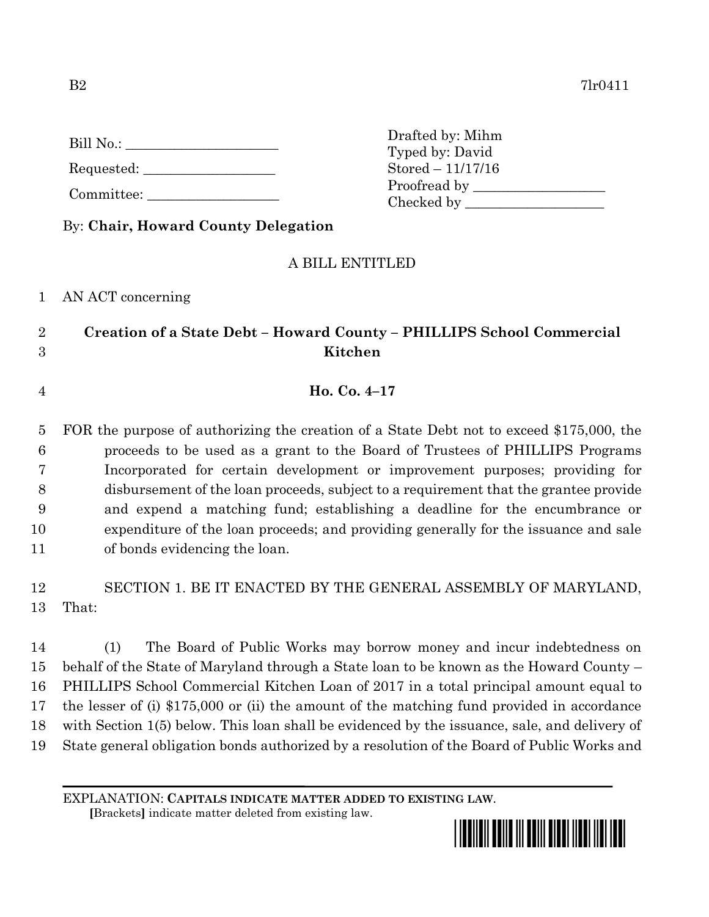| Bill No.: |  |
|-----------|--|
|           |  |

Requested:

Committee:

Drafted by: Mihm Typed by: David Stored – 11/17/16 Proofread by Checked by \_\_\_\_\_\_\_\_\_\_\_\_\_\_\_\_\_\_\_\_

By: **Chair, Howard County Delegation**

## A BILL ENTITLED

1 AN ACT concerning

## 2 **Creation of a State Debt – Howard County – PHILLIPS School Commercial**  3 **Kitchen**

4 **Ho. Co. 4–17**

 FOR the purpose of authorizing the creation of a State Debt not to exceed \$175,000, the proceeds to be used as a grant to the Board of Trustees of PHILLIPS Programs Incorporated for certain development or improvement purposes; providing for disbursement of the loan proceeds, subject to a requirement that the grantee provide and expend a matching fund; establishing a deadline for the encumbrance or expenditure of the loan proceeds; and providing generally for the issuance and sale of bonds evidencing the loan.

12 SECTION 1. BE IT ENACTED BY THE GENERAL ASSEMBLY OF MARYLAND, 13 That:

 (1) The Board of Public Works may borrow money and incur indebtedness on behalf of the State of Maryland through a State loan to be known as the Howard County – PHILLIPS School Commercial Kitchen Loan of 2017 in a total principal amount equal to the lesser of (i) \$175,000 or (ii) the amount of the matching fund provided in accordance with Section 1(5) below. This loan shall be evidenced by the issuance, sale, and delivery of State general obligation bonds authorized by a resolution of the Board of Public Works and

EXPLANATION: **CAPITALS INDICATE MATTER ADDED TO EXISTING LAW**.

 **[**Brackets**]** indicate matter deleted from existing law.

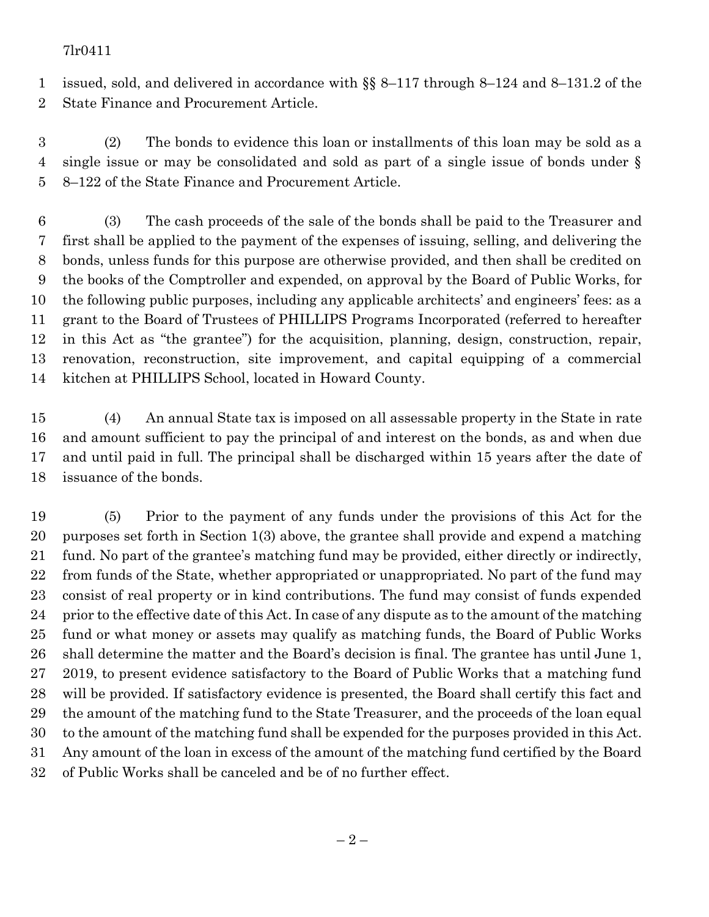## 7lr0411

 issued, sold, and delivered in accordance with §§ 8–117 through 8–124 and 8–131.2 of the State Finance and Procurement Article.

 (2) The bonds to evidence this loan or installments of this loan may be sold as a single issue or may be consolidated and sold as part of a single issue of bonds under § 8–122 of the State Finance and Procurement Article.

 (3) The cash proceeds of the sale of the bonds shall be paid to the Treasurer and first shall be applied to the payment of the expenses of issuing, selling, and delivering the bonds, unless funds for this purpose are otherwise provided, and then shall be credited on the books of the Comptroller and expended, on approval by the Board of Public Works, for the following public purposes, including any applicable architects' and engineers' fees: as a grant to the Board of Trustees of PHILLIPS Programs Incorporated (referred to hereafter in this Act as "the grantee") for the acquisition, planning, design, construction, repair, renovation, reconstruction, site improvement, and capital equipping of a commercial kitchen at PHILLIPS School, located in Howard County.

 (4) An annual State tax is imposed on all assessable property in the State in rate and amount sufficient to pay the principal of and interest on the bonds, as and when due and until paid in full. The principal shall be discharged within 15 years after the date of issuance of the bonds.

 (5) Prior to the payment of any funds under the provisions of this Act for the purposes set forth in Section 1(3) above, the grantee shall provide and expend a matching fund. No part of the grantee's matching fund may be provided, either directly or indirectly, from funds of the State, whether appropriated or unappropriated. No part of the fund may consist of real property or in kind contributions. The fund may consist of funds expended prior to the effective date of this Act. In case of any dispute as to the amount of the matching fund or what money or assets may qualify as matching funds, the Board of Public Works shall determine the matter and the Board's decision is final. The grantee has until June 1, 2019, to present evidence satisfactory to the Board of Public Works that a matching fund will be provided. If satisfactory evidence is presented, the Board shall certify this fact and the amount of the matching fund to the State Treasurer, and the proceeds of the loan equal to the amount of the matching fund shall be expended for the purposes provided in this Act. Any amount of the loan in excess of the amount of the matching fund certified by the Board of Public Works shall be canceled and be of no further effect.